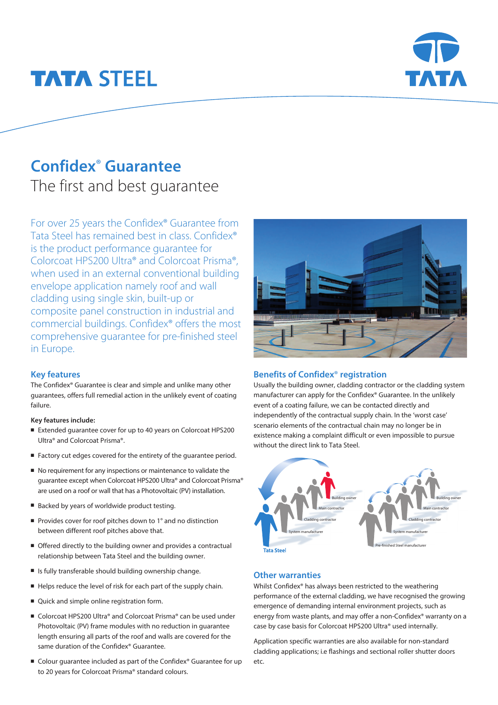# **TATA STEEL**



# **Confidex**® **Guarantee**

The first and best guarantee

For over 25 years the Confidex® Guarantee from Tata Steel has remained best in class. Confidex® is the product performance guarantee for Colorcoat HPS200 Ultra® and Colorcoat Prisma®, when used in an external conventional building envelope application namely roof and wall cladding using single skin, built-up or composite panel construction in industrial and commercial buildings. Confidex® offers the most comprehensive guarantee for pre-finished steel in Europe.

### **Key features**

The Confidex® Guarantee is clear and simple and unlike many other guarantees, offers full remedial action in the unlikely event of coating failure.

#### **Key features include:**

- Extended guarantee cover for up to 40 years on Colorcoat HPS200 Ultra® and Colorcoat Prisma®.
- Factory cut edges covered for the entirety of the guarantee period.
- $\blacksquare$  No requirement for any inspections or maintenance to validate the guarantee except when Colorcoat HPS200 Ultra® and Colorcoat Prisma® are used on a roof or wall that has a Photovoltaic (PV) installation.
- Backed by years of worldwide product testing.
- Provides cover for roof pitches down to  $1^\circ$  and no distinction between different roof pitches above that.
- Offered directly to the building owner and provides a contractual relationship between Tata Steel and the building owner.
- <sup>n</sup> Is fully transferable should building ownership change.
- <sup>n</sup> Helps reduce the level of risk for each part of the supply chain.
- Quick and simple online registration form.
- Colorcoat HPS200 Ultra® and Colorcoat Prisma® can be used under Photovoltaic (PV) frame modules with no reduction in guarantee length ensuring all parts of the roof and walls are covered for the same duration of the Confidex® Guarantee.
- Colour guarantee included as part of the Confidex® Guarantee for up to 20 years for Colorcoat Prisma® standard colours.



### **Benefits of Confidex**® **registration**

Usually the building owner, cladding contractor or the cladding system manufacturer can apply for the Confidex® Guarantee. In the unlikely event of a coating failure, we can be contacted directly and independently of the contractual supply chain. In the 'worst case' scenario elements of the contractual chain may no longer be in existence making a complaint difficult or even impossible to pursue without the direct link to Tata Steel.



#### **Other warranties**

Whilst Confidex® has always been restricted to the weathering performance of the external cladding, we have recognised the growing emergence of demanding internal environment projects, such as energy from waste plants, and may offer a non-Confidex® warranty on a case by case basis for Colorcoat HPS200 Ultra® used internally.

Application specific warranties are also available for non-standard cladding applications; i.e flashings and sectional roller shutter doors etc.